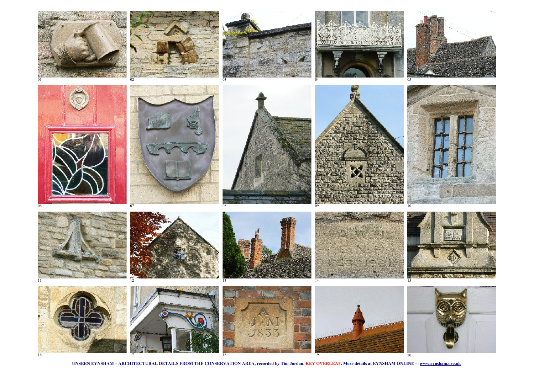

**UNSEEN EYNSHAM – ARCHITECTURAL DETAILS FROM THE CONSERVATION AREA, recorded by Tim Jordan. KEY OVERLEAF. More details at EYNSHAM ONLINE – [www.eynsham.org.uk](http://www.eynsham.org.uk/)**